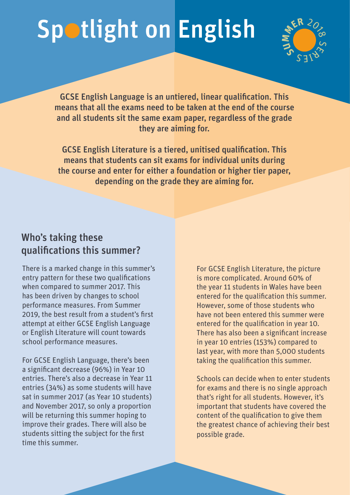## Spotlight on English



GCSE English Language is an untiered, linear qualification. This means that all the exams need to be taken at the end of the course and all students sit the same exam paper, regardless of the grade they are aiming for.

GCSE English Literature is a tiered, unitised qualification. This means that students can sit exams for individual units during the course and enter for either a foundation or higher tier paper, depending on the grade they are aiming for.

## Who's taking these qualifications this summer?

There is a marked change in this summer's entry pattern for these two qualifications when compared to summer 2017. This has been driven by changes to school performance measures. From Summer 2019, the best result from a student's first attempt at either GCSE English Language or English Literature will count towards school performance measures.

For GCSE English Language, there's been a significant decrease (96%) in Year 10 entries. There's also a decrease in Year 11 entries (34%) as some students will have sat in summer 2017 (as Year 10 students) and November 2017, so only a proportion will be returning this summer hoping to improve their grades. There will also be students sitting the subject for the first time this summer.

For GCSE English Literature, the picture is more complicated. Around 60% of the year 11 students in Wales have been entered for the qualification this summer. However, some of those students who have not been entered this summer were entered for the qualification in year 10. There has also been a significant increase in year 10 entries (153%) compared to last year, with more than 5,000 students taking the qualification this summer.

Schools can decide when to enter students for exams and there is no single approach that's right for all students. However, it's important that students have covered the content of the qualification to give them the greatest chance of achieving their best possible grade.